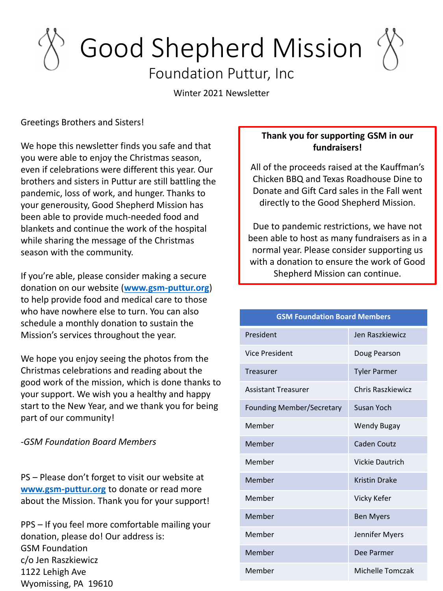## Good Shepherd Mission Foundation Puttur, Inc

Winter 2021 Newsletter

Greetings Brothers and Sisters!

We hope this newsletter finds you safe and that you were able to enjoy the Christmas season, even if celebrations were different this year. Our brothers and sisters in Puttur are still battling the pandemic, loss of work, and hunger. Thanks to your generousity, Good Shepherd Mission has been able to provide much-needed food and blankets and continue the work of the hospital while sharing the message of the Christmas season with the community.

If you're able, please consider making a secure donation on our website (**[www.gsm-puttur.org](http://www.gsm-puttur.org/)**) to help provide food and medical care to those who have nowhere else to turn. You can also schedule a monthly donation to sustain the Mission's services throughout the year.

We hope you enjoy seeing the photos from the Christmas celebrations and reading about the good work of the mission, which is done thanks to your support. We wish you a healthy and happy start to the New Year, and we thank you for being part of our community!

*-GSM Foundation Board Members*

PS – Please don't forget to visit our website at **[www.gsm-puttur.org](http://www.gsm-puttur.org/)** to donate or read more about the Mission. Thank you for your support!

PPS – If you feel more comfortable mailing your donation, please do! Our address is: GSM Foundation c/o Jen Raszkiewicz 1122 Lehigh Ave Wyomissing, PA 19610

## **Thank you for supporting GSM in our fundraisers!**

All of the proceeds raised at the Kauffman's Chicken BBQ and Texas Roadhouse Dine to Donate and Gift Card sales in the Fall went directly to the Good Shepherd Mission.

Due to pandemic restrictions, we have not been able to host as many fundraisers as in a normal year. Please consider supporting us with a donation to ensure the work of Good Shepherd Mission can continue.

| <b>GSM Foundation Board Members</b> |                        |
|-------------------------------------|------------------------|
| President                           | Jen Raszkiewicz        |
| <b>Vice President</b>               | Doug Pearson           |
| Treasurer                           | <b>Tyler Parmer</b>    |
| <b>Assistant Treasurer</b>          | Chris Raszkiewicz      |
| <b>Founding Member/Secretary</b>    | <b>Susan Yoch</b>      |
| Member                              | Wendy Bugay            |
| Member                              | Caden Coutz            |
| Member                              | <b>Vickie Dautrich</b> |
| Member                              | <b>Kristin Drake</b>   |
| Member                              | Vicky Kefer            |
| Member                              | <b>Ben Myers</b>       |
| Member                              | Jennifer Myers         |
| Member                              | Dee Parmer             |
| Member                              | Michelle Tomczak       |